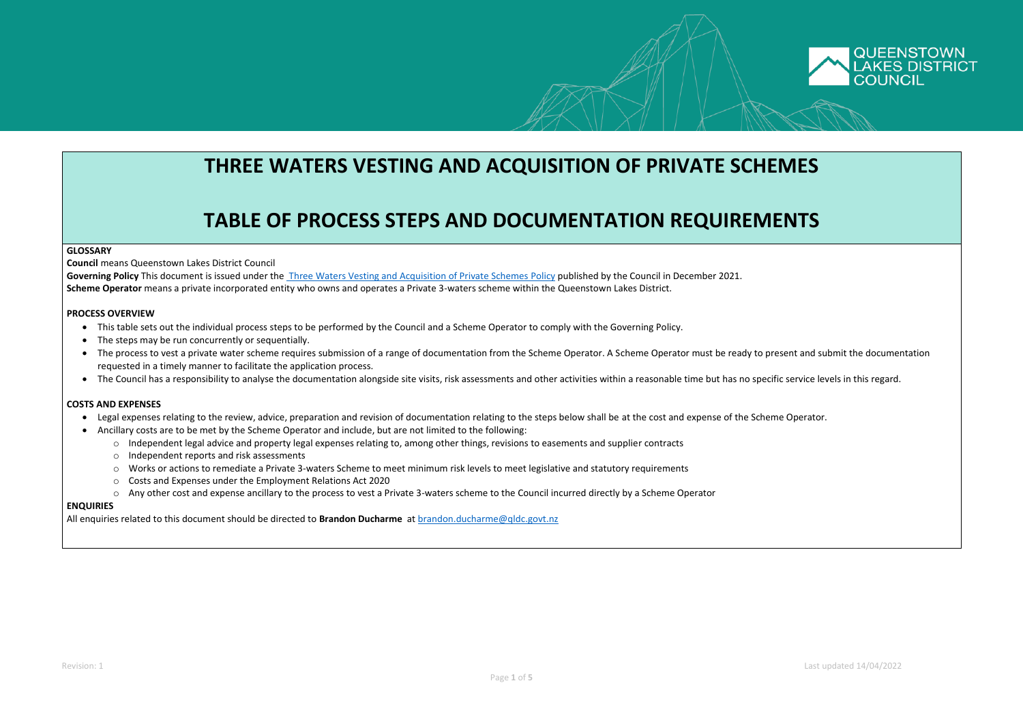Revision: 1 Last updated 14/04/2022



## **THREE WATERS VESTING AND ACQUISITION OF PRIVATE SCHEMES**

# **TABLE OF PROCESS STEPS AND DOCUMENTATION REQUIREMENTS**

#### **GLOSSARY**

**Council** means Queenstown Lakes District Council

- This table sets out the individual process steps to be performed by the Council and a Scheme Operator to comply with the Governing Policy.
- The steps may be run concurrently or sequentially.
- The process to vest a private water scheme requires submission of a range of documentation from the Scheme Operator. A Scheme Operator must be ready to present and submit the documentation requested in a timely manner to facilitate the application process.
- The Council has a responsibility to analyse the documentation alongside site visits, risk assessments and other activities within a reasonable time but has no specific service levels in this regard.

**Governing Policy** This document is issued under the [Three Waters Vesting and Acquisition of Private Schemes](https://www.qldc.govt.nz/media/hv4bxvy3/acquisition-and-vesting-of-private-3-waters-scheme-policy-draft-rev-1-16-12-2021.pdf) Policy published by the Council in December 2021. **Scheme Operator** means a private incorporated entity who owns and operates a Private 3-waters scheme within the Queenstown Lakes District.

#### **PROCESS OVERVIEW**

### **COSTS AND EXPENSES**

- Legal expenses relating to the review, advice, preparation and revision of documentation relating to the steps below shall be at the cost and expense of the Scheme Operator.
- Ancillary costs are to be met by the Scheme Operator and include, but are not limited to the following:
	- o Independent legal advice and property legal expenses relating to, among other things, revisions to easements and supplier contracts
	- o Independent reports and risk assessments
	- o Works or actions to remediate a Private 3-waters Scheme to meet minimum risk levels to meet legislative and statutory requirements
	- o Costs and Expenses under the Employment Relations Act 2020
	- o Any other cost and expense ancillary to the process to vest a Private 3-waters scheme to the Council incurred directly by a Scheme Operator

#### **ENQUIRIES**

All enquiries related to this document should be directed to **Brandon Ducharme** at [brandon.ducharme@qldc.govt.nz](mailto:brandon.ducharme@qldc.govt.nz)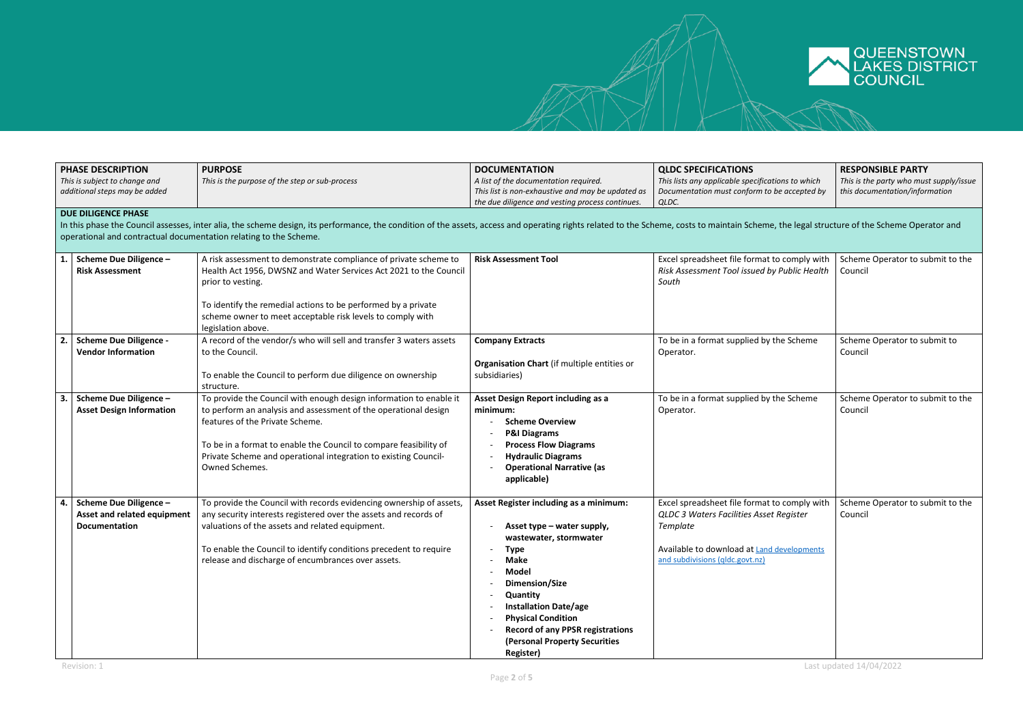

|    | <b>PHASE DESCRIPTION</b>                                                                                                                                                                                                                                                                                                          | <b>PURPOSE</b>                                                                                                                                                                                                                                                                                                                     | <b>DOCUMENTATION</b>                                                                                                                                                                                                                                                                                                                    | <b>QLDC SPECIFICATIONS</b>                                                                                                                                                           | <b>RESPONSIBLE PARTY</b>                                                  |  |  |
|----|-----------------------------------------------------------------------------------------------------------------------------------------------------------------------------------------------------------------------------------------------------------------------------------------------------------------------------------|------------------------------------------------------------------------------------------------------------------------------------------------------------------------------------------------------------------------------------------------------------------------------------------------------------------------------------|-----------------------------------------------------------------------------------------------------------------------------------------------------------------------------------------------------------------------------------------------------------------------------------------------------------------------------------------|--------------------------------------------------------------------------------------------------------------------------------------------------------------------------------------|---------------------------------------------------------------------------|--|--|
|    | This is subject to change and<br>additional steps may be added                                                                                                                                                                                                                                                                    | This is the purpose of the step or sub-process                                                                                                                                                                                                                                                                                     | A list of the documentation required.<br>This list is non-exhaustive and may be updated as<br>the due diligence and vesting process continues.                                                                                                                                                                                          | This lists any applicable specifications to which<br>Documentation must conform to be accepted by<br>QLDC.                                                                           | This is the party who must supply/issue<br>this documentation/information |  |  |
|    | <b>DUE DILIGENCE PHASE</b><br>In this phase the Council assesses, inter alia, the scheme design, its performance, the condition of the assets, access and operating rights related to the Scheme, costs to maintain Scheme, the legal structure of the Schem<br>operational and contractual documentation relating to the Scheme. |                                                                                                                                                                                                                                                                                                                                    |                                                                                                                                                                                                                                                                                                                                         |                                                                                                                                                                                      |                                                                           |  |  |
| 1. | <b>Scheme Due Diligence -</b><br><b>Risk Assessment</b>                                                                                                                                                                                                                                                                           | A risk assessment to demonstrate compliance of private scheme to<br>Health Act 1956, DWSNZ and Water Services Act 2021 to the Council<br>prior to vesting.<br>To identify the remedial actions to be performed by a private<br>scheme owner to meet acceptable risk levels to comply with<br>legislation above.                    | <b>Risk Assessment Tool</b>                                                                                                                                                                                                                                                                                                             | Excel spreadsheet file format to comply with<br>Risk Assessment Tool issued by Public Health<br>South                                                                                | Scheme Operator to submit to the<br>Council                               |  |  |
| 2. | <b>Scheme Due Diligence -</b><br><b>Vendor Information</b>                                                                                                                                                                                                                                                                        | A record of the vendor/s who will sell and transfer 3 waters assets<br>to the Council.<br>To enable the Council to perform due diligence on ownership<br>structure.                                                                                                                                                                | <b>Company Extracts</b><br>Organisation Chart (if multiple entities or<br>subsidiaries)                                                                                                                                                                                                                                                 | To be in a format supplied by the Scheme<br>Operator.                                                                                                                                | Scheme Operator to submit to<br>Council                                   |  |  |
| 3. | <b>Scheme Due Diligence -</b><br><b>Asset Design Information</b>                                                                                                                                                                                                                                                                  | To provide the Council with enough design information to enable it<br>to perform an analysis and assessment of the operational design<br>features of the Private Scheme.<br>To be in a format to enable the Council to compare feasibility of<br>Private Scheme and operational integration to existing Council-<br>Owned Schemes. | Asset Design Report including as a<br>minimum:<br><b>Scheme Overview</b><br><b>P&amp;I Diagrams</b><br><b>Process Flow Diagrams</b><br><b>Hydraulic Diagrams</b><br><b>Operational Narrative (as</b><br>applicable)                                                                                                                     | To be in a format supplied by the Scheme<br>Operator.                                                                                                                                | Scheme Operator to submit to the<br>Council                               |  |  |
| 4. | <b>Scheme Due Diligence -</b><br>Asset and related equipment<br><b>Documentation</b>                                                                                                                                                                                                                                              | To provide the Council with records evidencing ownership of assets,<br>any security interests registered over the assets and records of<br>valuations of the assets and related equipment.<br>To enable the Council to identify conditions precedent to require<br>release and discharge of encumbrances over assets.              | Asset Register including as a minimum:<br>Asset type – water supply,<br>wastewater, stormwater<br><b>Type</b><br><b>Make</b><br><b>Model</b><br>Dimension/Size<br>Quantity<br><b>Installation Date/age</b><br><b>Physical Condition</b><br><b>Record of any PPSR registrations</b><br>(Personal Property Securities<br><b>Register)</b> | Excel spreadsheet file format to comply with<br>QLDC 3 Waters Facilities Asset Register<br>Template<br>Available to download at Land developments<br>and subdivisions (gldc.govt.nz) | Scheme Operator to submit to the<br>Council                               |  |  |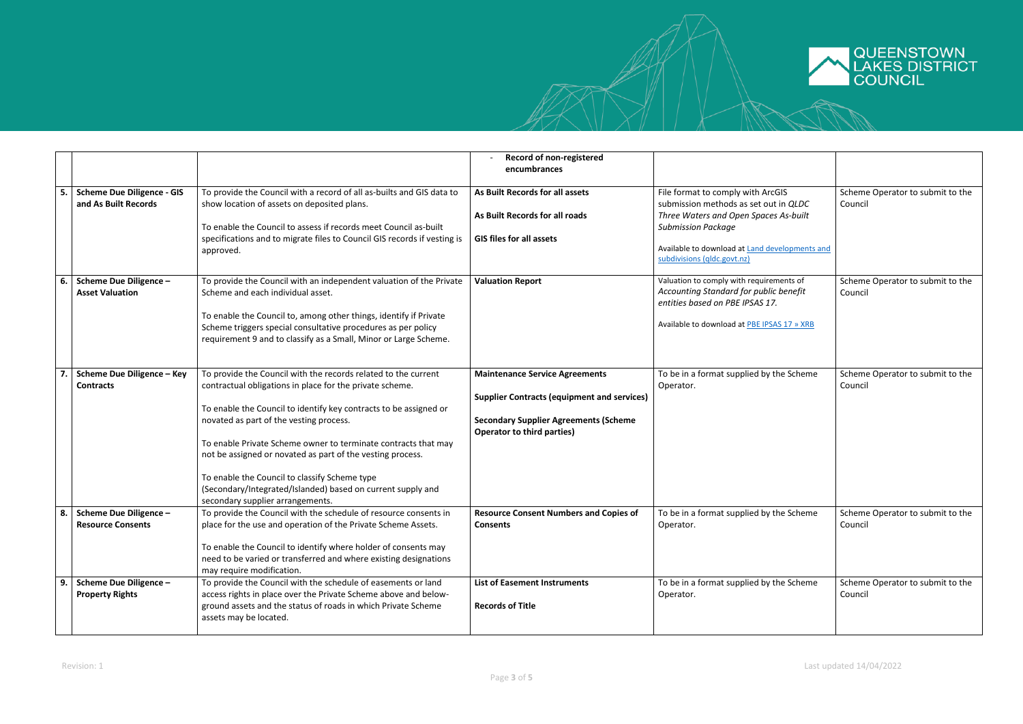

|    |                                                           |                                                                                                                                                                                                                                                                                                                                                                                                                                                                                                                                | Record of non-registered                                                                                                                                                         |                                                                                                                                                                                                                                   |                                             |
|----|-----------------------------------------------------------|--------------------------------------------------------------------------------------------------------------------------------------------------------------------------------------------------------------------------------------------------------------------------------------------------------------------------------------------------------------------------------------------------------------------------------------------------------------------------------------------------------------------------------|----------------------------------------------------------------------------------------------------------------------------------------------------------------------------------|-----------------------------------------------------------------------------------------------------------------------------------------------------------------------------------------------------------------------------------|---------------------------------------------|
|    |                                                           |                                                                                                                                                                                                                                                                                                                                                                                                                                                                                                                                | encumbrances                                                                                                                                                                     |                                                                                                                                                                                                                                   |                                             |
| 5. | <b>Scheme Due Diligence - GIS</b><br>and As Built Records | To provide the Council with a record of all as-builts and GIS data to<br>show location of assets on deposited plans.<br>To enable the Council to assess if records meet Council as-built<br>specifications and to migrate files to Council GIS records if vesting is<br>approved.                                                                                                                                                                                                                                              | As Built Records for all assets<br>As Built Records for all roads<br><b>GIS files for all assets</b>                                                                             | File format to comply with ArcGIS<br>submission methods as set out in QLDC<br>Three Waters and Open Spaces As-built<br><b>Submission Package</b><br>Available to download at Land developments and<br>subdivisions (qldc.govt.nz) | Scheme Operator to submit to the<br>Council |
| 6. | <b>Scheme Due Diligence -</b><br><b>Asset Valuation</b>   | To provide the Council with an independent valuation of the Private<br>Scheme and each individual asset.<br>To enable the Council to, among other things, identify if Private<br>Scheme triggers special consultative procedures as per policy<br>requirement 9 and to classify as a Small, Minor or Large Scheme.                                                                                                                                                                                                             | <b>Valuation Report</b>                                                                                                                                                          | Valuation to comply with requirements of<br>Accounting Standard for public benefit<br>entities based on PBE IPSAS 17.<br>Available to download at PBE IPSAS 17 » XRB                                                              | Scheme Operator to submit to the<br>Council |
|    | <b>Scheme Due Diligence - Key</b><br><b>Contracts</b>     | To provide the Council with the records related to the current<br>contractual obligations in place for the private scheme.<br>To enable the Council to identify key contracts to be assigned or<br>novated as part of the vesting process.<br>To enable Private Scheme owner to terminate contracts that may<br>not be assigned or novated as part of the vesting process.<br>To enable the Council to classify Scheme type<br>(Secondary/Integrated/Islanded) based on current supply and<br>secondary supplier arrangements. | <b>Maintenance Service Agreements</b><br><b>Supplier Contracts (equipment and services)</b><br><b>Secondary Supplier Agreements (Scheme</b><br><b>Operator to third parties)</b> | To be in a format supplied by the Scheme<br>Operator.                                                                                                                                                                             | Scheme Operator to submit to the<br>Council |
| 8. | Scheme Due Diligence -<br><b>Resource Consents</b>        | To provide the Council with the schedule of resource consents in<br>place for the use and operation of the Private Scheme Assets.<br>To enable the Council to identify where holder of consents may<br>need to be varied or transferred and where existing designations<br>may require modification.                                                                                                                                                                                                                           | <b>Resource Consent Numbers and Copies of</b><br><b>Consents</b>                                                                                                                 | To be in a format supplied by the Scheme<br>Operator.                                                                                                                                                                             | Scheme Operator to submit to the<br>Council |
| 9. | <b>Scheme Due Diligence -</b><br><b>Property Rights</b>   | To provide the Council with the schedule of easements or land<br>access rights in place over the Private Scheme above and below-<br>ground assets and the status of roads in which Private Scheme<br>assets may be located.                                                                                                                                                                                                                                                                                                    | <b>List of Easement Instruments</b><br><b>Records of Title</b>                                                                                                                   | To be in a format supplied by the Scheme<br>Operator.                                                                                                                                                                             | Scheme Operator to submit to the<br>Council |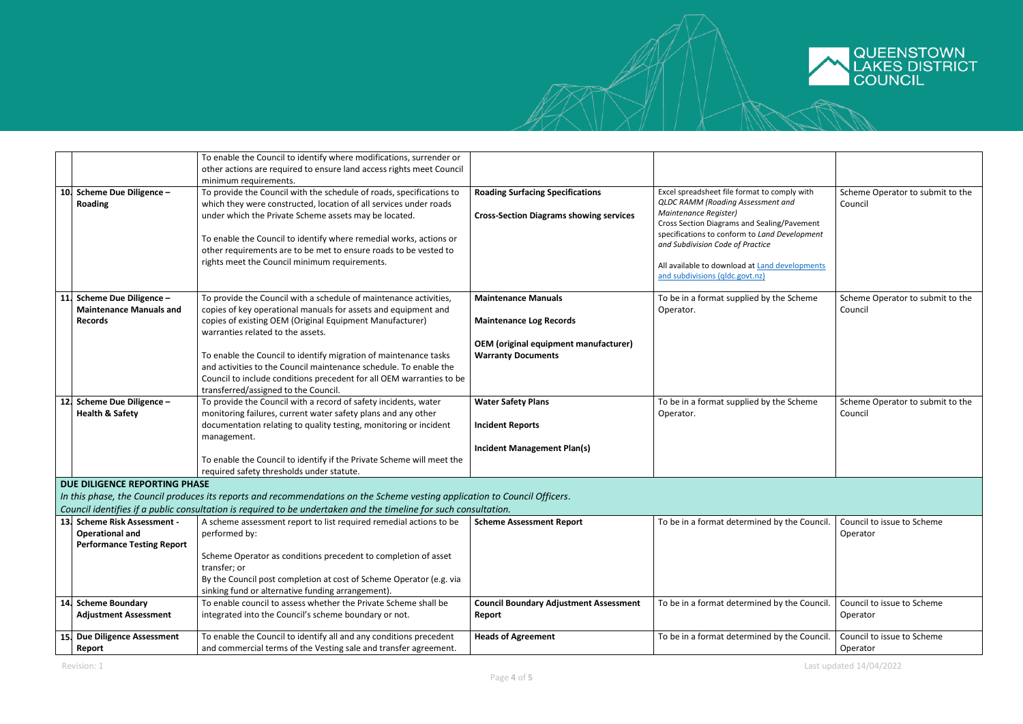

|                                      | To enable the Council to identify where modifications, surrender or                                                        |                                                |                                                                      |                                  |
|--------------------------------------|----------------------------------------------------------------------------------------------------------------------------|------------------------------------------------|----------------------------------------------------------------------|----------------------------------|
|                                      | other actions are required to ensure land access rights meet Council                                                       |                                                |                                                                      |                                  |
|                                      |                                                                                                                            |                                                |                                                                      |                                  |
|                                      | minimum requirements.                                                                                                      |                                                |                                                                      |                                  |
| 10. Scheme Due Diligence -           | To provide the Council with the schedule of roads, specifications to                                                       | <b>Roading Surfacing Specifications</b>        | Excel spreadsheet file format to comply with                         | Scheme Operator to submit to the |
| <b>Roading</b>                       | which they were constructed, location of all services under roads                                                          |                                                | QLDC RAMM (Roading Assessment and                                    | Council                          |
|                                      | under which the Private Scheme assets may be located.                                                                      | <b>Cross-Section Diagrams showing services</b> | Maintenance Register)<br>Cross Section Diagrams and Sealing/Pavement |                                  |
|                                      |                                                                                                                            |                                                | specifications to conform to Land Development                        |                                  |
|                                      | To enable the Council to identify where remedial works, actions or                                                         |                                                | and Subdivision Code of Practice                                     |                                  |
|                                      | other requirements are to be met to ensure roads to be vested to                                                           |                                                |                                                                      |                                  |
|                                      | rights meet the Council minimum requirements.                                                                              |                                                | All available to download at Land developments                       |                                  |
|                                      |                                                                                                                            |                                                | and subdivisions (qldc.govt.nz)                                      |                                  |
|                                      |                                                                                                                            |                                                |                                                                      |                                  |
| Scheme Due Diligence -<br>11.        | To provide the Council with a schedule of maintenance activities,                                                          | <b>Maintenance Manuals</b>                     | To be in a format supplied by the Scheme                             | Scheme Operator to submit to the |
| <b>Maintenance Manuals and</b>       | copies of key operational manuals for assets and equipment and                                                             |                                                | Operator.                                                            | Council                          |
| <b>Records</b>                       | copies of existing OEM (Original Equipment Manufacturer)                                                                   | <b>Maintenance Log Records</b>                 |                                                                      |                                  |
|                                      | warranties related to the assets.                                                                                          |                                                |                                                                      |                                  |
|                                      |                                                                                                                            | <b>OEM</b> (original equipment manufacturer)   |                                                                      |                                  |
|                                      | To enable the Council to identify migration of maintenance tasks                                                           | <b>Warranty Documents</b>                      |                                                                      |                                  |
|                                      | and activities to the Council maintenance schedule. To enable the                                                          |                                                |                                                                      |                                  |
|                                      |                                                                                                                            |                                                |                                                                      |                                  |
|                                      | Council to include conditions precedent for all OEM warranties to be                                                       |                                                |                                                                      |                                  |
|                                      | transferred/assigned to the Council.                                                                                       |                                                |                                                                      |                                  |
| <b>Scheme Due Diligence -</b><br>12. | To provide the Council with a record of safety incidents, water                                                            | <b>Water Safety Plans</b>                      | To be in a format supplied by the Scheme                             | Scheme Operator to submit to the |
| <b>Health &amp; Safety</b>           | monitoring failures, current water safety plans and any other                                                              |                                                | Operator.                                                            | Council                          |
|                                      | documentation relating to quality testing, monitoring or incident                                                          | <b>Incident Reports</b>                        |                                                                      |                                  |
|                                      | management.                                                                                                                |                                                |                                                                      |                                  |
|                                      |                                                                                                                            | <b>Incident Management Plan(s)</b>             |                                                                      |                                  |
|                                      | To enable the Council to identify if the Private Scheme will meet the                                                      |                                                |                                                                      |                                  |
|                                      | required safety thresholds under statute.                                                                                  |                                                |                                                                      |                                  |
| DUE DILIGENCE REPORTING PHASE        |                                                                                                                            |                                                |                                                                      |                                  |
|                                      | In this phase, the Council produces its reports and recommendations on the Scheme vesting application to Council Officers. |                                                |                                                                      |                                  |
|                                      | Council identifies if a public consultation is required to be undertaken and the timeline for such consultation.           |                                                |                                                                      |                                  |
| 13. Scheme Risk Assessment -         | A scheme assessment report to list required remedial actions to be                                                         | <b>Scheme Assessment Report</b>                | To be in a format determined by the Council                          | Council to issue to Scheme       |
| <b>Operational and</b>               | performed by:                                                                                                              |                                                |                                                                      | Operator                         |
| <b>Performance Testing Report</b>    |                                                                                                                            |                                                |                                                                      |                                  |
|                                      | Scheme Operator as conditions precedent to completion of asset                                                             |                                                |                                                                      |                                  |
|                                      | transfer; or                                                                                                               |                                                |                                                                      |                                  |
|                                      | By the Council post completion at cost of Scheme Operator (e.g. via                                                        |                                                |                                                                      |                                  |
|                                      | sinking fund or alternative funding arrangement).                                                                          |                                                |                                                                      |                                  |
| <b>Scheme Boundary</b><br>14.        | To enable council to assess whether the Private Scheme shall be                                                            | <b>Council Boundary Adjustment Assessment</b>  | To be in a format determined by the Council.                         | Council to issue to Scheme       |
| <b>Adjustment Assessment</b>         | integrated into the Council's scheme boundary or not.                                                                      | Report                                         |                                                                      | Operator                         |
|                                      |                                                                                                                            |                                                |                                                                      |                                  |
| 15. Due Diligence Assessment         | To enable the Council to identify all and any conditions precedent                                                         | <b>Heads of Agreement</b>                      | To be in a format determined by the Council                          | Council to issue to Scheme       |
| Report                               | and commercial terms of the Vesting sale and transfer agreement.                                                           |                                                |                                                                      | Operator                         |
|                                      |                                                                                                                            |                                                |                                                                      |                                  |